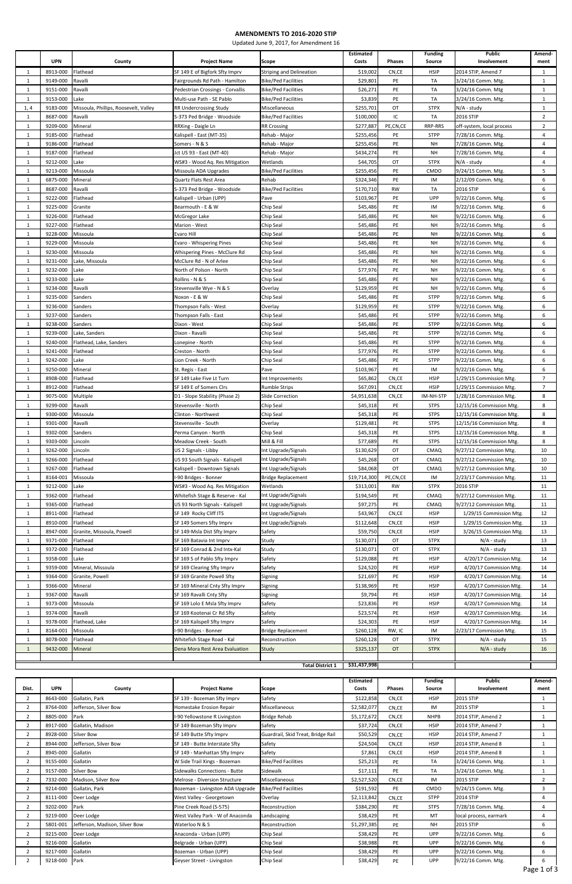|              |            |                                       |                                  |                                 | <b>Estimated</b> |               | <b>Funding</b> | <b>Public</b>             | Amend-         |
|--------------|------------|---------------------------------------|----------------------------------|---------------------------------|------------------|---------------|----------------|---------------------------|----------------|
|              | <b>UPN</b> | County                                | <b>Project Name</b>              | Scope                           | Costs            | <b>Phases</b> | Source         | Involvement               | ment           |
| 1            | 8913-000   | Flathead                              | SF 149 E of Bigfork Sfty Imprv   | <b>Striping and Delineation</b> | \$19,002         | CN,CE         | <b>HSIP</b>    | 2014 STIP, Amend 7        | 1              |
| 1            | 9149-000   | Ravalli                               | Fairgrounds Rd Path - Hamilton   | <b>Bike/Ped Facilities</b>      | \$29,801         | PE            | TA             | 3/24/16 Comm. Mtg.        | 1              |
| 1            | 9151-000   | Ravalli                               | Pedestrian Crossings - Corvallis | <b>Bike/Ped Facilities</b>      | \$26,271         | PE            | TA             | 3/24/16 Comm. Mtg         | $\mathbf{1}$   |
|              |            |                                       |                                  |                                 |                  |               |                |                           |                |
| 1            | 9153-000   | Lake                                  | Multi-use Path - SE Pablo        | <b>Bike/Ped Facilities</b>      | \$3,839          | PE            | TA             | 3/24/16 Comm. Mtg.        | 1              |
| 1, 4         | 9183-000   | Missoula, Phillips, Roosevelt, Valley | RR Undercrossing Study           | Miscellaneous                   | \$255,701        | OT            | <b>STPX</b>    | N/A - study               | 1              |
| 1            | 8687-000   | Ravalli                               | S-373 Ped Bridge - Woodside      | <b>Bike/Ped Facilities</b>      | \$100,000        | IC            | TA             | 2016 STIP                 | $\overline{2}$ |
| $\mathbf{1}$ | 9209-000   | Mineral                               | RRXing - Daigle Ln               | <b>RR Crossing</b>              | \$277,887        | PE,CN,CE      | RRP-RRS        | off-system, local process | $\overline{2}$ |
| 1            | 9185-000   | Flathead                              | Kalispell - East (MT-35)         | Rehab - Major                   | \$255,456        | PE            | <b>STPP</b>    | 7/28/16 Comm. Mtg.        | $\overline{4}$ |
| 1            | 9186-000   | Flathead                              | Somers - N & S                   | Rehab - Major                   | \$255,456        | PE            | NH             | 7/28/16 Comm. Mtg.        | 4              |
| $\mathbf{1}$ | 9187-000   | Flathead                              | Jct US 93 - East (MT-40)         | Rehab - Major                   | \$434,274        | PE            | NH             | 7/28/16 Comm. Mtg.        | $\overline{4}$ |
| $\mathbf{1}$ | 9212-000   | Lake                                  | WS#3 - Wood Aq. Res Mitigation   | Wetlands                        | \$44,705         | OT            | <b>STPX</b>    | N/A - study               | $\overline{4}$ |
| $\mathbf{1}$ | 9213-000   | Missoula                              | Missoula ADA Upgrades            | <b>Bike/Ped Facilities</b>      | \$255,456        | PE            | CMDO           | 9/24/15 Comm. Mtg.        | 5              |
| $\mathbf{1}$ | 6875-000   | Mineral                               | Quartz Flats Rest Area           | Rehab                           | \$324,346        | PE            | IM             | 2/12/09 Comm. Mtg.        | 6              |
| 1            | 8687-000   | Ravalli                               | S-373 Ped Bridge - Woodside      | <b>Bike/Ped Facilities</b>      | \$170,710        | <b>RW</b>     | TA             | 2016 STIP                 | 6              |
| 1            | 9222-000   | Flathead                              | Kalispell - Urban (UPP)          | Pave                            | \$103,967        | PE            | UPP            | 9/22/16 Comm. Mtg.        | 6              |
| 1            | 9225-000   | Granite                               | Bearmouth - E & W                | Chip Seal                       | \$45,486         | PE            | IM             | 9/22/16 Comm. Mtg.        | 6              |
|              | 9226-000   | Flathead                              |                                  | Chip Seal                       | \$45,486         | PE            | <b>NH</b>      | 9/22/16 Comm. Mtg.        | 6              |
| $\mathbf{1}$ |            |                                       | McGregor Lake                    |                                 |                  |               |                |                           |                |
| 1            | 9227-000   | Flathead                              | Marion - West                    | Chip Seal                       | \$45,486         | PE            | NH             | 9/22/16 Comm. Mtg.        | 6              |
| 1            | 9228-000   | Missoula                              | Evaro Hill                       | Chip Seal                       | \$45,486         | PE            | NH             | 9/22/16 Comm. Mtg.        | 6              |
| $\mathbf{1}$ | 9229-000   | Missoula                              | Evaro - Whispering Pines         | Chip Seal                       | \$45,486         | PE            | <b>NH</b>      | 9/22/16 Comm. Mtg.        | 6              |
| 1            | 9230-000   | Missoula                              | Whispering Pines - McClure Rd    | Chip Seal                       | \$45,486         | PE            | NH             | 9/22/16 Comm. Mtg.        | 6              |
| 1            | 9231-000   | Lake, Missoula                        | McClure Rd - N of Arlee          | Chip Seal                       | \$45,486         | PE            | <b>NH</b>      | 9/22/16 Comm. Mtg.        | 6              |
| 1            | 9232-000   | Lake                                  | North of Polson - North          | Chip Seal                       | \$77,976         | PE            | NH             | 9/22/16 Comm. Mtg.        | 6              |
| 1            | 9233-000   | Lake                                  | Rollins - N & S                  | Chip Seal                       | \$45,486         | PE            | NH             | 9/22/16 Comm. Mtg.        | 6              |
| 1            | 9234-000   | Ravalli                               | Stevensville Wye - N & S         | Overlay                         | \$129,959        | PE            | NH             | 9/22/16 Comm. Mtg.        | 6              |
| 1            | 9235-000   | Sanders                               | Noxon - E & W                    | Chip Seal                       | \$45,486         | PE            | <b>STPP</b>    | 9/22/16 Comm. Mtg.        | 6              |
| 1            | 9236-000   | Sanders                               | Thompson Falls - West            | Overlay                         | \$129,959        | PE            | <b>STPP</b>    | 9/22/16 Comm. Mtg.        | 6              |
| 1            | 9237-000   | Sanders                               | Thompson Falls - East            | Chip Seal                       | \$45,486         | PE            | <b>STPP</b>    | 9/22/16 Comm. Mtg.        | 6              |
|              | 9238-000   |                                       |                                  |                                 |                  |               |                |                           |                |
| 1            |            | Sanders                               | Dixon - West                     | Chip Seal                       | \$45,486         | PE            | <b>STPP</b>    | 9/22/16 Comm. Mtg.        | 6              |
| 1            | 9239-000   | Lake, Sanders                         | Dixon - Ravalli                  | Chip Seal                       | \$45,486         | PE            | <b>STPP</b>    | 9/22/16 Comm. Mtg.        | 6              |
| 1            | 9240-000   | Flathead, Lake, Sanders               | Lonepine - North                 | Chip Seal                       | \$45,486         | PE            | <b>STPP</b>    | 9/22/16 Comm. Mtg.        | 6              |
| $\mathbf{1}$ | 9241-000   | Flathead                              | Creston - North                  | Chip Seal                       | \$77,976         | PE            | <b>STPP</b>    | 9/22/16 Comm. Mtg.        | 6              |
| $\mathbf{1}$ | 9242-000   | Lake                                  | Lion Creek - North               | Chip Seal                       | \$45,486         | PE            | <b>STPP</b>    | 9/22/16 Comm. Mtg.        | 6              |
| 1            | 9250-000   | Mineral                               | St. Regis - East                 | Pave                            | \$103,967        | PE            | IM             | 9/22/16 Comm. Mtg.        | 6              |
| 1            | 8908-000   | Flathead                              | SF 149 Lake Five Lt Turn         | Int Improvements                | \$65,862         | CN,CE         | <b>HSIP</b>    | 1/29/15 Commission Mtg.   | $\overline{7}$ |
| 1            | 8912-000   | Flathead                              | SF 149 E of Somers Clrs          | Rumble Strips                   | \$67,091         | CN,CE         | <b>HSIP</b>    | 1/29/15 Commission Mtg.   | $\overline{7}$ |
| 1            | 9075-000   | Multiple                              | D1 - Slope Stability (Phase 2)   | Slide Correction                | \$4,951,638      | CN,CE         | IM-NH-STP      | 1/28/16 Commission Mtg.   | 8              |
| $\mathbf{1}$ | 9299-000   | Ravalli                               | Stevensville - North             | Chip Seal                       | \$45,318         | PE            | <b>STPS</b>    | 12/15/16 Commission Mtg.  | 8              |
| $\mathbf{1}$ | 9300-000   | Missoula                              | Clinton - Northwest              | Chip Seal                       | \$45,318         | PE            | <b>STPS</b>    | 12/15/16 Commission Mtg.  | 8              |
| 1            | 9301-000   | Ravalli                               | Stevensville - South             | Overlay                         | \$129,481        | PE            | <b>STPS</b>    | 12/15/16 Commission Mtg.  | 8              |
| $\mathbf{1}$ | 9302-000   | Sanders                               | Perma Canyon - North             | Chip Seal                       | \$45,318         | PE            | <b>STPS</b>    | 12/15/16 Commission Mtg.  | 8              |
| $\mathbf{1}$ | 9303-000   | Lincoln                               | Meadow Creek - South             | Mill & Fill                     | \$77,689         | PE            | <b>STPS</b>    | 12/15/16 Commission Mtg.  | 8              |
|              |            |                                       |                                  |                                 |                  |               |                |                           |                |
| 1            | 9262-000   | Lincoln                               | US 2 Signals - Libby             | Int Upgrade/Signals             | \$130,629        | OT            | <b>CMAQ</b>    | 9/27/12 Commission Mtg.   | 10             |
| $\mathbf{1}$ | 9266-000   | Flathead                              | US 93 South Signals - Kalispell  | Int Upgrade/Signals             | \$45,268         | OT            | CMAQ           | 9/27/12 Commission Mtg.   | 10             |
| $\mathbf{1}$ | 9267-000   | Flathead                              | Kalispell - Downtown Signals     | Int Upgrade/Signals             | \$84,068         | OT            | <b>CMAQ</b>    | 9/27/12 Commission Mtg.   | 10             |
| 1            | 8164-001   | Missoula                              | -90 Bridges - Bonner             | Bridge Replacement              | \$19,714,300     | PE,CN,CE      | ΙM             | 2/23/17 Commission Mtg.   | 11             |
| $\mathbf{1}$ | 9212-000   | Lake                                  | WS#3 - Wood Aq. Res Mitigation   | Wetlands                        | \$313,001        | RW            | <b>STPX</b>    | 2016 STIP                 | 11             |
| $\mathbf{1}$ | 9362-000   | Flathead                              | Whitefish Stage & Reserve - Kal  | Int Upgrade/Signals             | \$194,549        | PE            | <b>CMAQ</b>    | 9/27/12 Commission Mtg.   | 11             |
| $\mathbf{1}$ | 9365-000   | Flathead                              | US 93 North Signals - Kalispell  | Int Upgrade/Signals             | \$97,275         | PE            | <b>CMAQ</b>    | 9/27/12 Commission Mtg.   | 11             |
| 1            | 8911-000   | Flathead                              | SF 149 Rocky Cliff ITS           | Int Upgrade/Signals             | \$43,967         | CN,CE         | <b>HSIP</b>    | 1/29/15 Commission Mtg.   | 12             |
| 1            | 8910-000   | Flathead                              | SF 149 Somers Sfty Imprv         | Int Upgrade/Signals             | \$112,648        | CN,CE         | <b>HSIP</b>    | 1/29/15 Commission Mtg.   | 13             |
| 1            | 8947-000   | Granite, Missoula, Powell             | SF 149-Msla Dist Sfty Imprv      | Safety                          | \$59,750         | CN,CE         | HSIP           | 3/26/15 Commission Mtg.   | 13             |
| 1            | 9371-000   | Flathead                              | SF 169 Batavia Int Imprv         | Study                           | \$130,071        | OT            | <b>STPX</b>    | N/A - study               | 13             |
| $\mathbf{1}$ | 9372-000   | Flathead                              | SF 169 Conrad & 2nd Intx-Kal     | Study                           | \$130,071        | OT            | <b>STPX</b>    | N/A - study               | 13             |
| $\mathbf{1}$ | 9358-000   | Lake                                  | SF 169 S of Pablo Sfty Imprv     | Safety                          | \$129,088        | PE            | HSIP           | 4/20/17 Commision Mtg.    | 14             |
| $\mathbf{1}$ | 9359-000   | Mineral, Missoula                     | SF 169 Clearing Sfty Imprv       | Safety                          | \$24,520         | PE            | <b>HSIP</b>    | 4/20/17 Commision Mtg.    | 14             |
| 1            | 9364-000   | Granite, Powell                       | SF 169 Granite Powell Sfty       | Signing                         | \$21,697         | PE            | <b>HSIP</b>    | 4/20/17 Commision Mtg.    | 14             |
| 1            | 9366-000   | Mineral                               | SF 169 Mineral Cnty Sfty Imprv   | Signing                         | \$138,969        | PE            | <b>HSIP</b>    | 4/20/17 Commision Mtg.    | 14             |
|              |            |                                       |                                  |                                 |                  |               |                |                           |                |
| 1            | 9367-000   | Ravalli                               | SF 169 Ravalli Cnty Sfty         | Signing                         | \$9,794          | PE            | HSIP           | 4/20/17 Commision Mtg.    | 14             |
| $\mathbf{1}$ | 9373-000   | Missoula                              | SF 169 Lolo E Msla Sfty Imprv    | Safety                          | \$23,836         | PE            | <b>HSIP</b>    | 4/20/17 Commision Mtg.    | 14             |
| 1            | 9374-000   | Ravalli                               | SF 169 Kootenai Cr Rd Sfty       | Safety                          | \$23,574         | PE            | HSIP           | 4/20/17 Commision Mtg.    | 14             |
| 1            | 9378-000   | Flathead, Lake                        | SF 169 Kalispell Sfty Imprv      | Safety                          | \$24,303         | PE            | <b>HSIP</b>    | 4/20/17 Commision Mtg.    | 14             |
| $\mathbf{1}$ | 8164-001   | Missoula                              | I-90 Bridges - Bonner            | <b>Bridge Replacement</b>       | \$260,128        | RW, IC        | IM             | 2/23/17 Commission Mtg.   | 15             |
| 1            | 8078-000   | Flathead                              | Whitefish Stage Road - Kal       | Reconstruction                  | \$260,128        | OT            | <b>STPX</b>    | N/A - study               | 15             |
| $\mathbf{1}$ | 9432-000   | Mineral                               | Dena Mora Rest Area Evaluation   | Study                           | \$325,137        | OT            | <b>STPX</b>    | N/A - study               | 16             |

| Dist.          | <b>UPN</b>    | County                         | <b>Project Name</b>                  | Scope                              | <b>Estimated</b><br>Costs | <b>Phases</b> | <b>Funding</b><br>Source | <b>Public</b><br>Involvement | Amend-<br>ment |
|----------------|---------------|--------------------------------|--------------------------------------|------------------------------------|---------------------------|---------------|--------------------------|------------------------------|----------------|
| $\overline{2}$ | 8643-000      | Gallatin, Park                 | SF 139 - Bozeman Sfty Imprv          | Safety                             | \$122,858                 | CN.CE         | <b>HSIP</b>              | 2015 STIP                    | 1              |
| 2              | 8764-000      | Jefferson, Silver Bow          | Homestake Erosion Repair             | Miscellaneous                      | \$2,582,077               | CN,CE         | IM                       | 2015 STIP                    | 1              |
| 2              | 8805-000      | Park                           | I-90 Yellowstone R Livingston        | <b>Bridge Rehab</b>                | \$5,172,672               | CN,CE         | <b>NHPB</b>              | 2014 STIP, Amend 2           | 1              |
| 2              | 8917-000      | Gallatin, Madison              | SF 149 Bozeman Sfty Imprv            | Safety                             | \$37,724                  | CN,CE         | <b>HSIP</b>              | 2014 STIP, Amend 7           | 1              |
| 2              | 8928-000      | <b>Silver Bow</b>              | SF 149 Butte Sfty Imprv              | Guardrail, Skid Treat, Bridge Rail | \$50,529                  | CN,CE         | <b>HSIP</b>              | 2014 STIP, Amend 7           | 1              |
| 2              | 8944-000      | Jefferson, Silver Bow          | SF 149 - Butte Interstate Sftv       | Safety                             | \$24,504                  | CN,CE         | <b>HSIP</b>              | 2014 STIP, Amend 8           | 1              |
| 2              | 8945-000      | Gallatin                       | SF 149 - Manhattan Sfty Imprv        | Safety                             | \$7,861                   | CN,CE         | <b>HSIP</b>              | 2014 STIP, Amend 8           | 1              |
| $\overline{2}$ | 9155-000      | Gallatin                       | W Side Trail Xings - Bozeman         | <b>Bike/Ped Facilities</b>         | \$25,213                  | PE            | TA                       | 3/24/16 Comm. Mtg.           | 1              |
| 2              | 9157-000      | Silver Bow                     | <b>Sidewalks Connections - Butte</b> | Sidewalk                           | \$17,111                  | PE            | TA                       | 3/24/16 Comm. Mtg.           | 1              |
| 2              | 7332-000      | Madison, Silver Bow            | Melrose - Diversion Structure        | Miscellaneous                      | \$2,527,520               | CN,CE         | IM                       | 2015 STIP                    | $\overline{2}$ |
| 2              | 9214-000      | Gallatin, Park                 | Bozeman - Livingston ADA Upgrade     | <b>Bike/Ped Facilities</b>         | \$191,592                 | PE            | <b>CMDO</b>              | 9/24/15 Comm. Mtg.           | 3              |
| 2              | 8111-000      | Deer Lodge                     | West Valley - Georgetown             | Overlay                            | \$2,113,842               | CN,CE         | <b>STPP</b>              | 2014 STIP                    | 4              |
| $\overline{2}$ | 9202-000 Park |                                | Pine Creek Road (S-575)              | Reconstruction                     | \$384,290                 | PE            | <b>STPS</b>              | 7/28/16 Comm. Mtg.           | 4              |
| 2              | 9219-000      | Deer Lodge                     | West Valley Park - W of Anaconda     | Landscaping                        | \$38,429                  | PE            | MT                       | local process, earmark       | 4              |
| $\overline{2}$ | 5801-001      | Jefferson, Madison, Silver Bow | Waterloo N & S                       | Reconstruction                     | \$1,297,385               | PE            | <b>NH</b>                | 2015 STIP                    | 6              |
| 2              | 9215-000      | Deer Lodge                     | Anaconda - Urban (UPP)               | Chip Seal                          | \$38,429                  | PE            | UPP                      | 9/22/16 Comm. Mtg.           | 6              |
| $\overline{2}$ | 9216-000      | Gallatin                       | Belgrade - Urban (UPP)               | Chip Seal                          | \$38,988                  | PE            | <b>UPP</b>               | 9/22/16 Comm. Mtg.           | 6              |
| 2              | 9217-000      | Gallatin                       | Bozeman - Urban (UPP)                | Chip Seal                          | \$38,429                  | PE            | UPP                      | 9/22/16 Comm. Mtg.           | 6              |
| 2              | 9218-000 Park |                                | Geyser Street - Livingston           | Chip Seal                          | \$38,429                  | PE            | <b>UPP</b>               | 9/22/16 Comm. Mtg.           | 6              |

|                  |  |  |  |  | $-$ | --------     | -- | $\cdots$ |  |
|------------------|--|--|--|--|-----|--------------|----|----------|--|
|                  |  |  |  |  |     |              |    |          |  |
|                  |  |  |  |  |     |              |    |          |  |
|                  |  |  |  |  |     |              |    |          |  |
| Total District . |  |  |  |  |     | \$31,437,998 |    |          |  |

## **AMENDMENTS TO 2016-2020 STIP**

Updated June 9, 2017, for Amendment 16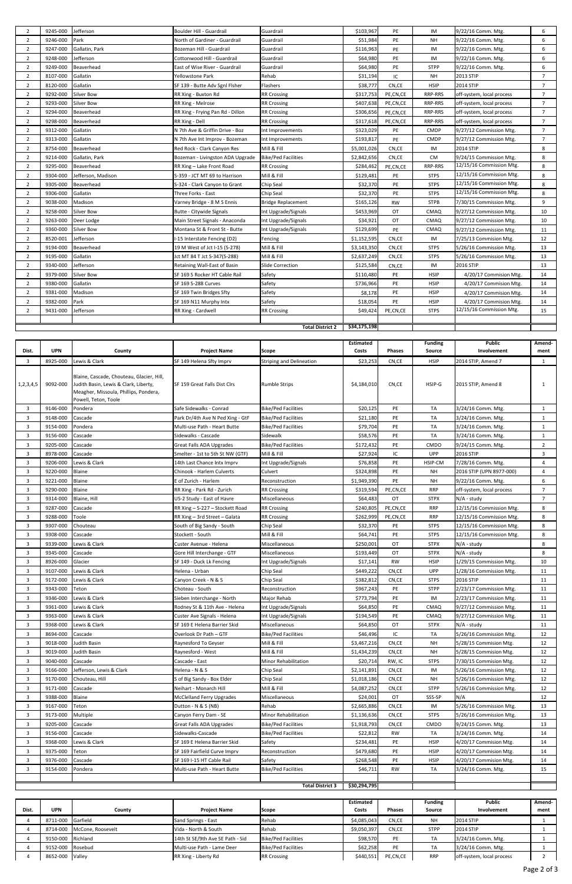| $\overline{2}$ | 9245-000 | Jefferson          | Boulder Hill - Guardrail         | Guardrail                  | \$103,967    | PE        | IM             | 9/22/16 Comm. Mtg.        | 6               |
|----------------|----------|--------------------|----------------------------------|----------------------------|--------------|-----------|----------------|---------------------------|-----------------|
| $\overline{2}$ | 9246-000 | Park               | North of Gardiner - Guardrail    | Guardrail                  | \$51,984     | PE        | <b>NH</b>      | 9/22/16 Comm. Mtg.        | 6               |
| $\overline{2}$ | 9247-000 | Gallatin, Park     | Bozeman Hill - Guardrail         | Guardrail                  | \$116,963    | PE        | IM             | 9/22/16 Comm. Mtg.        | 6               |
| $\overline{2}$ | 9248-000 | Jefferson          | Cottonwood Hill - Guardrail      | Guardrail                  | \$64,980     | PE        | IM             | 9/22/16 Comm. Mtg.        | 6               |
| $\overline{2}$ | 9249-000 | Beaverhead         | East of Wise River - Guardrail   | Guardrail                  | \$64,980     | PE        | <b>STPP</b>    | 9/22/16 Comm. Mtg.        | 6               |
| $\overline{2}$ | 8107-000 | Gallatin           | Yellowstone Park                 | Rehab                      | \$31,194     | IC        | NH             | 2013 STIP                 | $7\overline{ }$ |
| $\overline{2}$ | 8120-000 | Gallatin           | SF 139 - Butte Adv Sgnl Flsher   | Flashers                   | \$38,777     | CN,CE     | <b>HSIP</b>    | 2014 STIP                 | $7\overline{ }$ |
| $\overline{2}$ | 9292-000 | <b>Silver Bow</b>  | RR Xing - Buxton Rd              | <b>RR Crossing</b>         | \$317,753    | PE,CN,CE  | RRP-RRS        | off-system, local process | $\overline{7}$  |
| $\overline{2}$ | 9293-000 | <b>Silver Bow</b>  | RR Xing - Melrose                | <b>RR Crossing</b>         | \$407,638    | PE,CN,CE  | RRP-RRS        | off-system, local process | $\overline{7}$  |
| $\overline{2}$ | 9294-000 | Beaverhead         | RR Xing - Frying Pan Rd - Dillon | <b>RR Crossing</b>         | \$306,656    | PE,CN,CE  | RRP-RRS        | off-system, local process | $7^{\circ}$     |
| $\overline{2}$ | 9298-000 | Beaverhead         | RR Xing - Dell                   | <b>RR Crossing</b>         | \$317,618    | PE,CN,CE  | <b>RRP-RRS</b> | off-system, local process | $\overline{7}$  |
| $\overline{2}$ | 9312-000 | Gallatin           | N 7th Ave & Griffin Drive - Boz  | Int Improvements           | \$323,029    | PE        | <b>CMDP</b>    | 9/27/12 Commission Mtg.   | $\overline{7}$  |
| $\overline{2}$ | 9313-000 | Gallatin           | N 7th Ave Int Improv - Bozeman   | Int Improvements           | \$193,817    | PE        | <b>CMDP</b>    | 9/27/12 Commission Mtg.   | $\overline{7}$  |
| $\overline{2}$ | 8754-000 | Beaverhead         | Red Rock - Clark Canyon Res      | Mill & Fill                | \$5,001,026  | CN,CE     | IM             | 2014 STIP                 | 8               |
| $\overline{2}$ | 9214-000 | Gallatin, Park     | Bozeman - Livingston ADA Upgrade | <b>Bike/Ped Facilities</b> | \$2,842,656  | CN,CE     | <b>CM</b>      | 9/24/15 Commission Mtg.   | 8               |
| $\overline{2}$ | 9295-000 | Beaverhead         | RR Xing - Lake Front Road        | <b>RR Crossing</b>         | \$284,462    | PE,CN,CE  | <b>RRP-RRS</b> | 12/15/16 Commission Mtg.  | 8               |
| $\overline{2}$ | 9304-000 | Jefferson, Madison | S-359 - JCT MT 69 to Harrison    | Mill & Fill                | \$129,481    | PE        | <b>STPS</b>    | 12/15/16 Commission Mtg.  | 8               |
| $\overline{2}$ | 9305-000 | Beaverhead         | S-324 - Clark Canyon to Grant    | Chip Seal                  | \$32,370     | PE        | <b>STPS</b>    | 12/15/16 Commission Mtg.  | 8               |
| $\overline{2}$ | 9306-000 | Gallatin           | Three Forks - East               | Chip Seal                  | \$32,370     | PE        | <b>STPS</b>    | 12/15/16 Commission Mtg.  | 8               |
| $\overline{2}$ | 9038-000 | Madison            | Varney Bridge - 8 M S Ennis      | <b>Bridge Replacement</b>  | \$165,126    | <b>RW</b> | <b>STPB</b>    | 7/30/15 Commission Mtg.   | 9               |
| $\overline{2}$ | 9258-000 | <b>Silver Bow</b>  | Butte - Citywide Signals         | Int Upgrade/Signals        | \$453,969    | OT        | CMAQ           | 9/27/12 Commission Mtg.   | 10              |
| $\overline{2}$ | 9263-000 | Deer Lodge         | Main Street Signals - Anaconda   | Int Upgrade/Signals        | \$34,921     | OT        | CMAQ           | 9/27/12 Commission Mtg.   | 10              |
| $\overline{2}$ | 9360-000 | <b>Silver Bow</b>  | Montana St & Front St - Butte    | Int Upgrade/Signals        | \$129,699    | PE        | CMAQ           | 9/27/12 Commission Mtg.   | 11              |
| $\overline{2}$ | 8520-001 | Jefferson          | I-15 Interstate Fencing (D2)     | Fencing                    | \$1,152,595  | CN,CE     | IM             | 7/25/13 Commision Mtg.    | 12              |
| $\overline{2}$ | 9194-000 | Beaverhead         | 19 M West of Jct I-15 (S-278)    | Mill & Fill                | \$3,143,350  | CN,CE     | <b>STPS</b>    | 5/26/16 Commission Mtg.   | 13              |
| $\overline{2}$ | 9195-000 | Gallatin           | Jct MT 84 T Jct S-347(S-288)     | Mill & Fill                | \$2,637,249  | CN,CE     | <b>STPS</b>    | 5/26/16 Commission Mtg.   | 13              |
| $\overline{2}$ | 9340-000 | Jefferson          | Retaining Wall-East of Basin     | <b>Slide Correction</b>    | \$125,584    | CN,CE     | IM             | 2016 STIP                 | 13              |
| $\overline{2}$ | 9379-000 | <b>Silver Bow</b>  | SF 169 S Rocker HT Cable Rail    | Safety                     | \$110,480    | PE        | <b>HSIP</b>    | 4/20/17 Commision Mtg.    | 14              |
| $\overline{2}$ | 9380-000 | Gallatin           | SF 169 S-288 Curves              | Safety                     | \$736,966    | PE        | <b>HSIP</b>    | 4/20/17 Commision Mtg.    | 14              |
| $\overline{2}$ | 9381-000 | Madison            | SF 169 Twin Bridges Sfty         | Safety                     | \$8,178      | PE        | <b>HSIP</b>    | 4/20/17 Commision Mtg.    | 14              |
| 2              | 9382-000 | Park               | SF 169 N11 Murphy Intx           | Safety                     | \$18,054     | PE        | <b>HSIP</b>    | 4/20/17 Commision Mtg.    | 14              |
| $\overline{2}$ | 9431-000 | Jefferson          | RR Xing - Cardwell               | <b>RR Crossing</b>         | \$49,424     | PE,CN,CE  | <b>STPS</b>    | 12/15/16 Commission Mtg.  | 15              |
|                |          |                    |                                  |                            |              |           |                |                           |                 |
|                |          |                    |                                  | <b>Total District 2</b>    | \$34,175,198 |           |                |                           |                 |

|                |            |                                                                                                                                                     |                                  |                                 | Estimated    |               | <b>Funding</b> | <b>Public</b>             | Amend-         |
|----------------|------------|-----------------------------------------------------------------------------------------------------------------------------------------------------|----------------------------------|---------------------------------|--------------|---------------|----------------|---------------------------|----------------|
| Dist.          | <b>UPN</b> | County                                                                                                                                              | <b>Project Name</b>              | Scope                           | Costs        | <b>Phases</b> | Source         | Involvement               | ment           |
| 3              | 8925-000   | Lewis & Clark                                                                                                                                       | SF 149 Helena Sfty Imprv         | <b>Striping and Delineation</b> | \$23,253     | CN,CE         | <b>HSIP</b>    | 2014 STIP, Amend 7        | 1              |
| 1,2,3,4,5      | 9092-000   | Blaine, Cascade, Chouteau, Glacier, Hill,<br>Judith Basin, Lewis & Clark, Liberty,<br>Meagher, Missoula, Phillips, Pondera,<br>Powell, Teton, Toole | SF 159 Great Falls Dist Clrs     | <b>Rumble Strips</b>            | \$4,184,010  | CN,CE         | HSIP-G         | 2015 STIP, Amend 8        | 1              |
| 3              | 9146-000   | Pondera                                                                                                                                             | Safe Sidewalks - Conrad          | <b>Bike/Ped Facilities</b>      | \$20,125     | PE            | TA             | 3/24/16 Comm. Mtg.        | $\mathbf{1}$   |
| $\overline{3}$ | 9148-000   | Cascade                                                                                                                                             | Park Dr/4th Ave N Ped Xing - GtF | <b>Bike/Ped Facilities</b>      | \$21,180     | PE            | TA             | 3/24/16 Comm. Mtg.        | 1              |
| 3              | 9154-000   | Pondera                                                                                                                                             | Multi-use Path - Heart Butte     | <b>Bike/Ped Facilities</b>      | \$79,704     | PE            | <b>TA</b>      | 3/24/16 Comm. Mtg.        | 1              |
| $\overline{3}$ | 9156-000   | Cascade                                                                                                                                             | Sidewalks - Cascade              | Sidewalk                        | \$58,576     | PE            | TA             | 3/24/16 Comm. Mtg.        | 1              |
| $\overline{3}$ | 9205-000   | Cascade                                                                                                                                             | Great Falls ADA Upgrades         | <b>Bike/Ped Facilities</b>      | \$172,432    | PE            | <b>CMDO</b>    | 9/24/15 Comm. Mtg.        | $\overline{2}$ |
| 3              | 8978-000   | Cascade                                                                                                                                             | Smelter - 1st to 5th St NW (GTF) | Mill & Fill                     | \$27,924     | IC            | <b>UPP</b>     | 2016 STIP                 | $\overline{3}$ |
| 3              | 9206-000   | Lewis & Clark                                                                                                                                       | 14th Last Chance Intx Imprv      | Int Upgrade/Signals             | \$76,858     | PE            | HSIP-CM        | 7/28/16 Comm. Mtg.        | $\overline{4}$ |
| $\overline{3}$ | 9220-000   | Blaine                                                                                                                                              | Chinook - Harlem Culverts        | Culvert                         | \$324,898    | PE            | <b>NH</b>      | 2016 STIP (UPN 8977-000)  | $\overline{4}$ |
| 3              | 9221-000   | Blaine                                                                                                                                              | E of Zurich - Harlem             | Reconstruction                  | \$1,949,390  | PE            | <b>NH</b>      | 9/22/16 Comm. Mtg.        | 6              |
| 3              | 9290-000   | Blaine                                                                                                                                              | RR Xing - Park Rd - Zurich       | <b>RR Crossing</b>              | \$319,594    | PE,CN,CE      | <b>RRP</b>     | off-system, local process | $\overline{7}$ |
| $\overline{3}$ | 9314-000   | Blaine, Hill                                                                                                                                        | US-2 Study - East of Havre       | Miscellaneous                   | \$64,483     | ОT            | <b>STPX</b>    | N/A - study               | $\overline{7}$ |
| 3              | 9287-000   | Cascade                                                                                                                                             | RR Xing - S-227 - Stockett Road  | <b>RR Crossing</b>              | \$240,805    | PE,CN,CE      | <b>RRP</b>     | 12/15/16 Commission Mtg.  | 8              |
| 3              | 9288-000   | Toole                                                                                                                                               | RR Xing - 3rd Street - Galata    | <b>RR Crossing</b>              | \$262,999    | PE,CN,CE      | <b>RRP</b>     | 12/15/16 Commission Mtg.  | 8              |
| $\overline{3}$ | 9307-000   | Chouteau                                                                                                                                            | South of Big Sandy - South       | Chip Seal                       | \$32,370     | PE            | <b>STPS</b>    | 12/15/16 Commission Mtg.  | 8              |
| $\overline{3}$ | 9308-000   | Cascade                                                                                                                                             | Stockett - South                 | Mill & Fill                     | \$64,741     | PE            | <b>STPS</b>    | 12/15/16 Commission Mtg.  | 8              |
| $\overline{3}$ | 9339-000   | Lewis & Clark                                                                                                                                       | Custer Avenue - Helena           | Miscellaneous                   | \$250,001    | ОT            | <b>STPX</b>    | N/A - study               | 8              |
| $\overline{3}$ | 9345-000   | Cascade                                                                                                                                             | Gore Hill Interchange - GTF      | Miscellaneous                   | \$193,449    | OT            | <b>STPX</b>    | N/A - study               | 8              |
| $\overline{3}$ | 8926-000   | Glacier                                                                                                                                             | SF 149 - Duck Lk Fencing         | Int Upgrade/Signals             | \$17,141     | <b>RW</b>     | <b>HSIP</b>    | 1/29/15 Commission Mtg.   | 10             |
| $\overline{3}$ | 9107-000   | Lewis & Clark                                                                                                                                       | Helena - Urban                   | Chip Seal                       | \$449,222    | CN,CE         | <b>UPP</b>     | 1/28/16 Commission Mtg.   | 11             |
| $\overline{3}$ | 9172-000   | Lewis & Clark                                                                                                                                       | Canyon Creek - N & S             | Chip Seal                       | \$382,812    | CN,CE         | <b>STPS</b>    | 2016 STIP                 | 11             |
| $\overline{3}$ | 9343-000   | Teton                                                                                                                                               | Choteau - South                  | Reconstruction                  | \$967,243    | PE            | <b>STPP</b>    | 2/23/17 Commission Mtg.   | 11             |
| 3              | 9346-000   | Lewis & Clark                                                                                                                                       | Sieben Interchange - North       | Major Rehab                     | \$773,794    | PE            | IM             | 2/23/17 Commission Mtg.   | 11             |
| 3              | 9361-000   | Lewis & Clark                                                                                                                                       | Rodney St & 11th Ave - Helena    | Int Upgrade/Signals             | \$64,850     | PE            | CMAQ           | 9/27/12 Commission Mtg.   | 11             |
| 3              | 9363-000   | Lewis & Clark                                                                                                                                       | Custer Ave Signals - Helena      | Int Upgrade/Signals             | \$194,549    | PE            | <b>CMAQ</b>    | 9/27/12 Commission Mtg.   | 11             |
| 3              | 9368-000   | Lewis & Clark                                                                                                                                       | SF 169 E Helena Barrier Skid     | Miscellaneous                   | \$64,850     | ОT            | <b>STPX</b>    | N/A - study               | 11             |
| $\overline{3}$ | 8694-000   | Cascade                                                                                                                                             | Overlook Dr Path - GTF           | <b>Bike/Ped Facilities</b>      | \$46,496     | IC            | TA             | 5/26/16 Commission Mtg.   | 12             |
| 3              | 9018-000   | Iudith Basin                                                                                                                                        | Raynesford To Geyser             | Mill & Fill                     | \$3,467,216  | CN,CE         | <b>NH</b>      | 5/28/15 Commision Mtg.    | 12             |
| 3              | 9019-000   | Iudith Basin                                                                                                                                        | Raynesford - West                | Mill & Fill                     | \$1,434,239  | CN,CE         | <b>NH</b>      | 5/28/15 Commision Mtg.    | 12             |
| $\overline{3}$ | 9040-000   | Cascade                                                                                                                                             | Cascade - East                   | <b>Minor Rehabilitation</b>     | \$20,714     | RW, IC        | <b>STPS</b>    | 7/30/15 Commision Mtg.    | 12             |
| 3              | 9166-000   | Jefferson, Lewis & Clark                                                                                                                            | Helena - N & S                   | Chip Seal                       | \$2,141,891  | CN,CE         | IM             | 5/26/16 Commission Mtg.   | 12             |
| 3              | 9170-000   | Chouteau, Hill                                                                                                                                      | S of Big Sandy - Box Elder       | Chip Seal                       | \$1,018,186  | CN,CE         | NH             | 5/26/16 Commission Mtg.   | 12             |
| $\overline{3}$ | 9171-000   | Cascade                                                                                                                                             | Neihart - Monarch Hill           | Mill & Fill                     | \$4,087,252  | CN,CE         | <b>STPP</b>    | 5/26/16 Commission Mtg.   | 12             |
| 3              | 9388-000   | Blaine                                                                                                                                              | <b>McClelland Ferry Upgrades</b> | Miscellaneous                   | \$24,001     | OT            | SSS-SP         | N/A                       | 12             |
| 3              | 9167-000   | Teton                                                                                                                                               | Dutton - N & S (NB)              | Rehab                           | \$2,665,886  | CN,CE         | IM             | 5/26/16 Commission Mtg.   | 13             |
| 3              | 9173-000   | Multiple                                                                                                                                            | Canyon Ferry Dam - SE            | Minor Rehabilitation            | \$1,136,636  | CN,CE         | <b>STPS</b>    | 5/26/16 Commission Mtg.   | 13             |
| 3              | 9205-000   | Cascade                                                                                                                                             | Great Falls ADA Upgrades         | <b>Bike/Ped Facilities</b>      | \$1,918,793  | CN,CE         | CMDO           | 9/24/15 Comm. Mtg.        | 13             |
| 3              | 9156-000   | Cascade                                                                                                                                             | Sidewalks-Cascade                | <b>Bike/Ped Facilities</b>      | \$22,812     | RW            | TA             | 3/24/16 Comm. Mtg.        | 14             |
| 3              | 9368-000   | Lewis & Clark                                                                                                                                       | SF 169 E Helena Barrier Skid     | Safety                          | \$234,481    | PE            | <b>HSIP</b>    | 4/20/17 Commision Mtg.    | 14             |
| 3              | 9375-000   | Teton                                                                                                                                               | SF 169 Fairfield Curve Imprv     | Reconstruction                  | \$479,680    | PE            | <b>HSIP</b>    | 4/20/17 Commision Mtg.    | 14             |
| 3              | 9376-000   | Cascade                                                                                                                                             | SF 169 I-15 HT Cable Rail        | Safety                          | \$268,548    | PE            | <b>HSIP</b>    | 4/20/17 Commision Mtg.    | 14             |
| 3              | 9154-000   | Pondera                                                                                                                                             | Multi-use Path - Heart Butte     | <b>Bike/Ped Facilities</b>      | \$46,711     | <b>RW</b>     | TA             | 3/24/16 Comm. Mtg.        | 15             |
|                |            |                                                                                                                                                     |                                  |                                 |              |               |                |                           |                |
|                |            |                                                                                                                                                     |                                  | <b>Total District 3</b>         | \$30,294,795 |               |                |                           |                |

|       |                   |                            |                                  |                     | <b>Estimated</b> |               | <b>Funding</b> | <b>Public</b>             | Amend- |
|-------|-------------------|----------------------------|----------------------------------|---------------------|------------------|---------------|----------------|---------------------------|--------|
| Dist. | <b>UPN</b>        | County                     | <b>Project Name</b>              | <b>Scope</b>        | Costs            | <b>Phases</b> | Source         | Involvement               | ment   |
|       | 8711-000 Garfield |                            | Sand Springs - East              | Rehab               | \$4,085,043      | CN,CE         | NH             | <b>2014 STIP</b>          |        |
|       |                   | 8714-000 McCone, Roosevelt | Vida - North & South             | Rehab               | \$9,050,397      | CN,CE         | <b>STPP</b>    | 2014 STIP                 |        |
|       | 9150-000 Richland |                            | 14th St SE/9th Ave SE Path - Sid | Bike/Ped Facilities | \$98,570         | PE            | ТA             | 3/24/16 Comm. Mtg.        |        |
|       | 9152-000 Rosebud  |                            | Multi-use Path - Lame Deer       | Bike/Ped Facilities | \$62,258         | PE            | TA             | 3/24/16 Comm. Mtg.        |        |
|       | 8652-000 Valley   |                            | RR Xing - Liberty Rd             | <b>RR Crossing</b>  | \$440,551        | PE,CN,CE      | <b>RRP</b>     | off-system, local process |        |